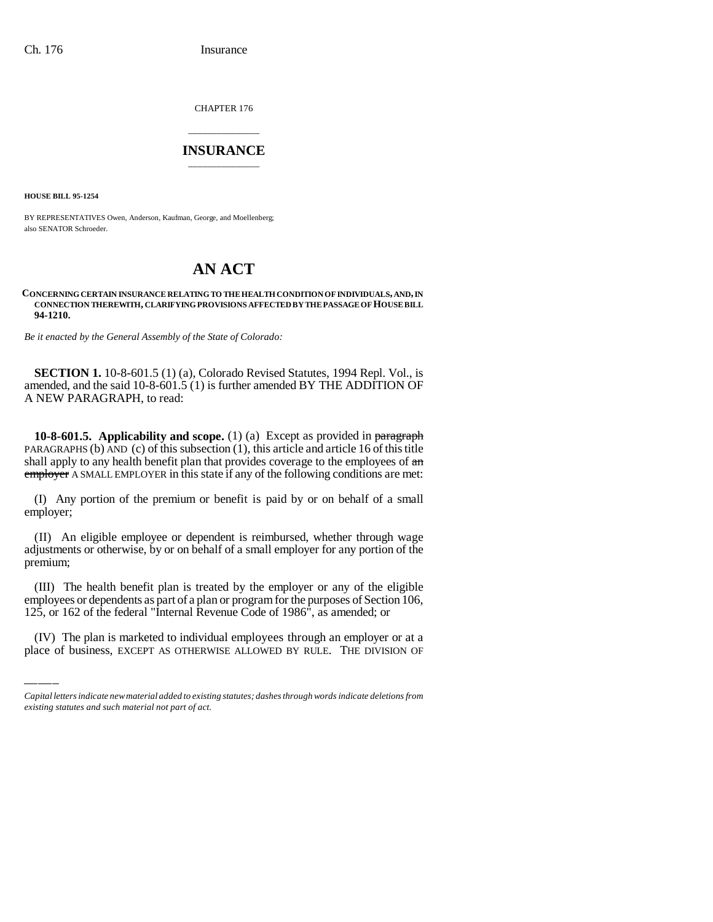CHAPTER 176

## \_\_\_\_\_\_\_\_\_\_\_\_\_\_\_ **INSURANCE** \_\_\_\_\_\_\_\_\_\_\_\_\_\_\_

**HOUSE BILL 95-1254**

BY REPRESENTATIVES Owen, Anderson, Kaufman, George, and Moellenberg; also SENATOR Schroeder.

## **AN ACT**

## **CONCERNING CERTAIN INSURANCE RELATING TO THE HEALTH CONDITION OF INDIVIDUALS, AND, IN CONNECTION THEREWITH, CLARIFYING PROVISIONS AFFECTED BY THE PASSAGE OF HOUSE BILL 94-1210.**

*Be it enacted by the General Assembly of the State of Colorado:*

**SECTION 1.** 10-8-601.5 (1) (a), Colorado Revised Statutes, 1994 Repl. Vol., is amended, and the said 10-8-601.5 (1) is further amended BY THE ADDITION OF A NEW PARAGRAPH, to read:

**10-8-601.5. Applicability and scope.** (1) (a) Except as provided in paragraph PARAGRAPHS (b) AND (c) of this subsection (1), this article and article 16 of this title shall apply to any health benefit plan that provides coverage to the employees of  $\alpha$ n employer A SMALL EMPLOYER in this state if any of the following conditions are met:

(I) Any portion of the premium or benefit is paid by or on behalf of a small employer;

(II) An eligible employee or dependent is reimbursed, whether through wage adjustments or otherwise, by or on behalf of a small employer for any portion of the premium;

employees or dependents as part of a plan or program for the purposes of Section 106, (III) The health benefit plan is treated by the employer or any of the eligible 125, or 162 of the federal "Internal Revenue Code of 1986", as amended; or

(IV) The plan is marketed to individual employees through an employer or at a place of business, EXCEPT AS OTHERWISE ALLOWED BY RULE. THE DIVISION OF

*Capital letters indicate new material added to existing statutes; dashes through words indicate deletions from existing statutes and such material not part of act.*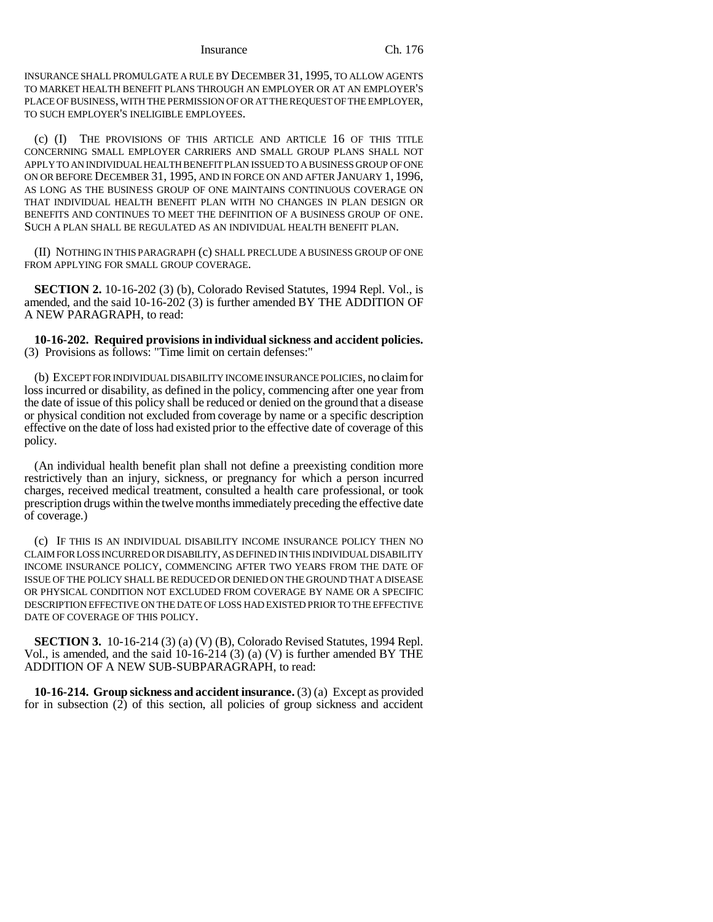Insurance Ch. 176

INSURANCE SHALL PROMULGATE A RULE BY DECEMBER 31, 1995, TO ALLOW AGENTS TO MARKET HEALTH BENEFIT PLANS THROUGH AN EMPLOYER OR AT AN EMPLOYER'S PLACE OF BUSINESS, WITH THE PERMISSION OF OR AT THE REQUEST OF THE EMPLOYER, TO SUCH EMPLOYER'S INELIGIBLE EMPLOYEES.

(c) (I) THE PROVISIONS OF THIS ARTICLE AND ARTICLE 16 OF THIS TITLE CONCERNING SMALL EMPLOYER CARRIERS AND SMALL GROUP PLANS SHALL NOT APPLY TO AN INDIVIDUAL HEALTH BENEFIT PLAN ISSUED TO A BUSINESS GROUP OF ONE ON OR BEFORE DECEMBER 31, 1995, AND IN FORCE ON AND AFTER JANUARY 1, 1996, AS LONG AS THE BUSINESS GROUP OF ONE MAINTAINS CONTINUOUS COVERAGE ON THAT INDIVIDUAL HEALTH BENEFIT PLAN WITH NO CHANGES IN PLAN DESIGN OR BENEFITS AND CONTINUES TO MEET THE DEFINITION OF A BUSINESS GROUP OF ONE. SUCH A PLAN SHALL BE REGULATED AS AN INDIVIDUAL HEALTH BENEFIT PLAN.

(II) NOTHING IN THIS PARAGRAPH (c) SHALL PRECLUDE A BUSINESS GROUP OF ONE FROM APPLYING FOR SMALL GROUP COVERAGE.

**SECTION 2.** 10-16-202 (3) (b), Colorado Revised Statutes, 1994 Repl. Vol., is amended, and the said 10-16-202 (3) is further amended BY THE ADDITION OF A NEW PARAGRAPH, to read:

**10-16-202. Required provisions in individual sickness and accident policies.** (3) Provisions as follows: "Time limit on certain defenses:"

(b) EXCEPT FOR INDIVIDUAL DISABILITY INCOME INSURANCE POLICIES, no claim for loss incurred or disability, as defined in the policy, commencing after one year from the date of issue of this policy shall be reduced or denied on the ground that a disease or physical condition not excluded from coverage by name or a specific description effective on the date of loss had existed prior to the effective date of coverage of this policy.

(An individual health benefit plan shall not define a preexisting condition more restrictively than an injury, sickness, or pregnancy for which a person incurred charges, received medical treatment, consulted a health care professional, or took prescription drugs within the twelve months immediately preceding the effective date of coverage.)

(c) IF THIS IS AN INDIVIDUAL DISABILITY INCOME INSURANCE POLICY THEN NO CLAIM FOR LOSS INCURRED OR DISABILITY, AS DEFINED IN THIS INDIVIDUAL DISABILITY INCOME INSURANCE POLICY, COMMENCING AFTER TWO YEARS FROM THE DATE OF ISSUE OF THE POLICY SHALL BE REDUCED OR DENIED ON THE GROUND THAT A DISEASE OR PHYSICAL CONDITION NOT EXCLUDED FROM COVERAGE BY NAME OR A SPECIFIC DESCRIPTION EFFECTIVE ON THE DATE OF LOSS HAD EXISTED PRIOR TO THE EFFECTIVE DATE OF COVERAGE OF THIS POLICY.

**SECTION 3.** 10-16-214 (3) (a) (V) (B), Colorado Revised Statutes, 1994 Repl. Vol., is amended, and the said  $10-16-214$  (3) (a) (V) is further amended BY THE ADDITION OF A NEW SUB-SUBPARAGRAPH, to read:

**10-16-214. Group sickness and accident insurance.** (3) (a) Except as provided for in subsection (2) of this section, all policies of group sickness and accident